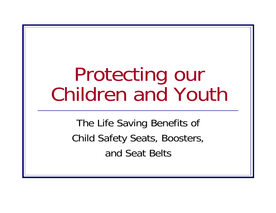## Protecting our Children and Youth

The Life Saving Benefits of Child Safety Seats, Boosters, and Seat Belts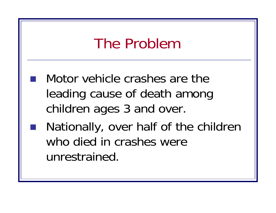### The Problem

- Motor vehicle crashes are the leading cause of death among children ages 3 and over.
- ■ Nationally, over half of the children who died in crashes were unrestrained.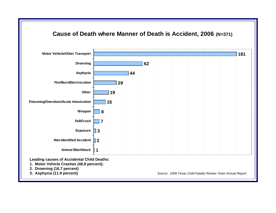

**Leading causes of Accidental Child Deaths:**

- **1. Motor Vehicle Crashes (48.8 percent);**
- **2. Drowning (16.7 percent)**
- 

**3. Asphyxia (11.9 percent)** *Source: 2008 Texas Child Fatality Review Team Annual Report*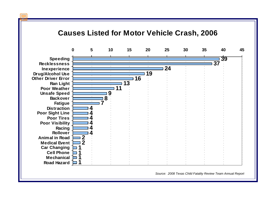#### **Causes Listed for Motor Vehicle Crash, 2006**



*Source: 2008 Texas Child Fatality Review Team Annual Report*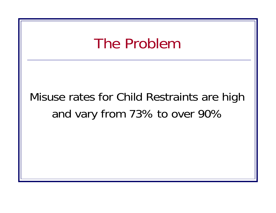#### The Problem

### Misuse rates for Child Restraints are high and vary from 73% to over 90%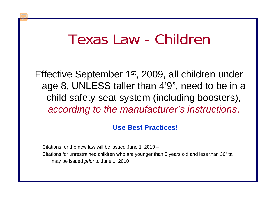### Texas Law - Children

Effective September 1st, 2009, all children under age 8, UNLESS taller than 4'9", need to be in a child safety seat system (including boosters), *according to the manufacturer's instructions*.

#### **Use Best Practices!**

Citations for the new law will be issued June 1, 2010 – Citations for unrestrained children who are younger than 5 years old and less than 36" tall may be issued *prior* to June 1, 2010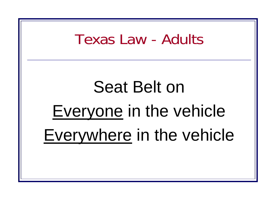### Texas Law - Adults

# Seat Belt on Everyone in the vehicle Everywhere in the vehicle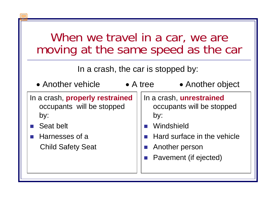| When we travel in a car, we are     |  |
|-------------------------------------|--|
| moving at the same speed as the car |  |

In a crash, the car is stopped by:

by: • Another vehicle **•** A tree In a crash, **properly restrained**  occupants will be stopped by:

- Seat belt
- Harnesses of a Child Safety Seat

In a crash, **unrestrained**  occupants will be stopped

• Another object

- <u>ra</u> Windshield
- **Hard surface in the vehicle**
- $\mathcal{L}^{\text{max}}$ Another person
- <u>ra</u> Pavement (if ejected)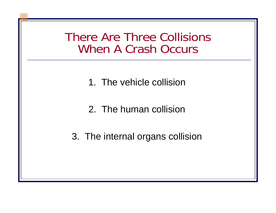#### There Are Three Collisions When A Crash Occurs

- 1. The vehicle collision
- 2. The human collision
- 3. The internal organs collision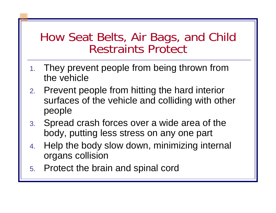#### How Seat Belts, Air Bags, and Child Restraints Protect

- 1. They prevent people from being thrown from the vehicle
- 2. Prevent people from hitting the hard interior surfaces of the vehicle and colliding with other people
- 3. Spread crash forces over a wide area of the body, putting less stress on any one part
- 4. Help the body slow down, minimizing internal organs collision
- 5. Protect the brain and spinal cord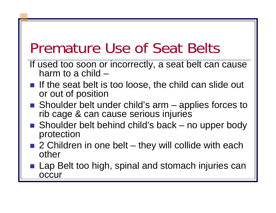### Premature Use of Seat Belts

- If used too soon or incorrectly, a seat belt can cause harm to a child –
- If the seat belt is too loose, the child can slide out or out of position
- Shoulder belt under child's arm applies forces to rib cage & can cause serious injuries
- Shoulder belt behind child's back no upper body protection
- 2 Children in one belt they will collide with each other
- Lap Belt too high, spinal and stomach injuries can occur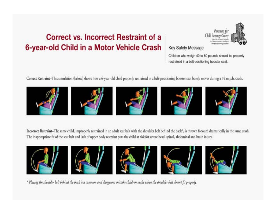#### **Correct vs. Incorrect Restraint of a** 6-year-old Child in a Motor Vehicle Crash



#### **Key Safety Message**

Children who weigh 40 to 80 pounds should be properly restrained in a belt-positioning booster seat.

Correct Restraint-This simulation (below) shows how a 6-year-old child properly restrained in a belt-positioning booster seat barely moves during a 35 m.p.h. crash.











Incorrect Restraint-The same child, improperly restrained in an adult seat belt with the shoulder belt behind the back\*, is thrown forward dramatically in the same crash. The inappropriate fit of the seat belt and lack of upper body restraint puts the child at risk for severe head, spinal, abdominal and brain injury.











\* Placing the shoulder belt behind the back is a common and dangerous mistake children make when the shoulder belt doesn't fit properly.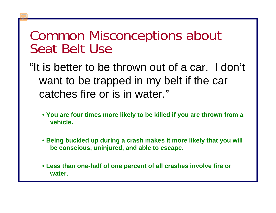#### Common Misconceptions about Seat Belt Use

"It is better to be thrown out of a car. I don't want to be trapped in my belt if the car catches fire or is in water."

- **You are four times more likely to be killed if you are thrown from a vehicle.**
- **Being buckled up during a crash makes it more likely that you will be conscious, uninjured, and able to escape.**
- **Less than one-half of one percent of all crashes involve fire or water.**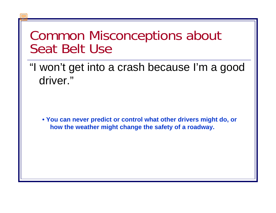#### Common Misconceptions about Seat Belt Use

"I won't get into a crash because I'm a good driver."

**• You can never predict or control what other drivers might do, or how the weather might change the safety of a roadway.**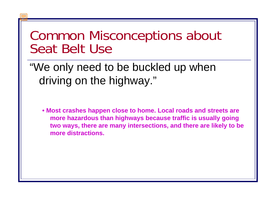#### Common Misconceptions about Seat Belt Use

"We only need to be buckled up when driving on the highway."

**• Most crashes happen close to home. Local roads and streets are more hazardous than highways because traffic is usually going two ways, there are many intersections, and there are likely to be more distractions.**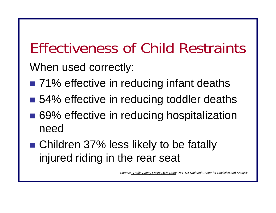## Effectiveness of Child Restraints

When used correctly:

- 71% effective in reducing infant deaths
- 54% effective in reducing toddler deaths
- 69% effective in reducing hospitalization need
- Children 37% less likely to be fatally injured riding in the rear seat

*Source: Traffic Safety Facts: 2006 Data: NHTSA National Center for Statistics and Analysis*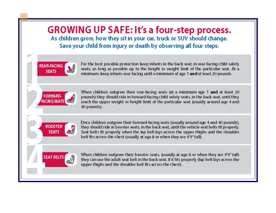

they can use the adult seat belt in the back seat, if it fits properly (lap belt lays across the upper thighs and the shoulder belt fits across the chest).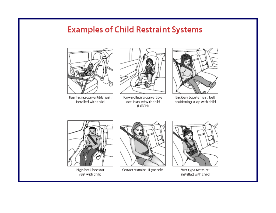#### **Examples of Child Restraint Systems**



Rear facing convertible seat: installed with child



Forward facing convertible seat: installed with child (LATCH)



Backless booster seat: belt positioning strap with child



High back booster seat with child



Correct restraint: 11-year-old



Vest type restraint: installed with child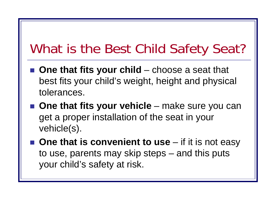### What is the Best Child Safety Seat?

- One that fits your child choose a seat that best fits your child's weight, height and physical tolerances.
- One that fits your vehicle make sure you can get a proper installation of the seat in your vehicle(s).
- One that is convenient to use if it is not easy to use, parents may skip steps – and this puts your child's safety at risk.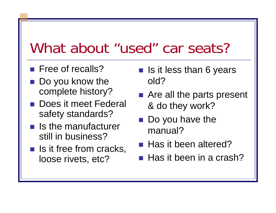### What about "used" car seats?

- **Free of recalls?**
- Do you know the complete history?
- **Does it meet Federal** safety standards?
- $\blacksquare$  Is the manufacturer still in business?
- $\blacksquare$  Is it free from cracks, loose rivets, etc?
- **If Is it less than 6 years** old?
- **Are all the parts present** & do they work?
- Do you have the manual?
- Has it been altered?
- $\blacksquare$  Has it been in a crash?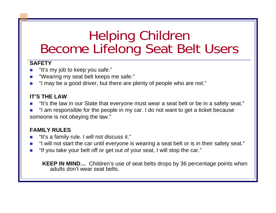#### Helping Children Become Lifelong Seat Belt Users

#### **SAFETY**

- $\blacksquare$  "It's my job to keep you safe."
- "Wearing my seat belt keeps me safe."
- $\mathcal{L}_{\mathcal{A}}$ "I may be a good driver, but there are plenty of people who are not."

#### **IT'S THE LAW**

- "It's the law in our State that everyone must wear a seat belt or be in a safety seat."
- "I am responsible for the people in my car. I do not want to get a ticket because someone is not obeying the law."

#### **FAMILY RULES**

- $\mathcal{L}_{\mathcal{A}}$ "It's a family rule. I will not discuss it."
- "I will not start the car until everyone is wearing a seat belt or is in their safety seat."
- "If you take your belt off or get out of your seat, I will stop the car."

**KEEP IN MIND…** Children's use of seat belts drops by 36 percentage points when adults don't wear seat belts.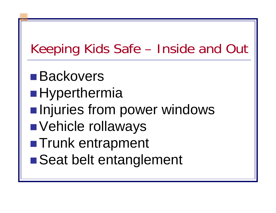### Keeping Kids Safe – Inside and Out

■Backovers ■Hyperthermia  $\blacksquare$ **Injuries from power windows**  Vehicle rollaways ■Trunk entrapment ■Seat belt entanglement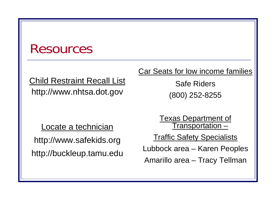#### Resources

#### Child Restraint Recall List http://www.nhtsa.dot.gov

Locate a technician

http://www.safekids.org http://buckleup.tamu.edu Car Seats for low income families

Safe Riders(800) 252-8255

Texas Department of <u>Transportation –</u>

Traffic Safety Specialists

Lubbock area – Karen Peoples

Amarillo area – Tracy Tellman